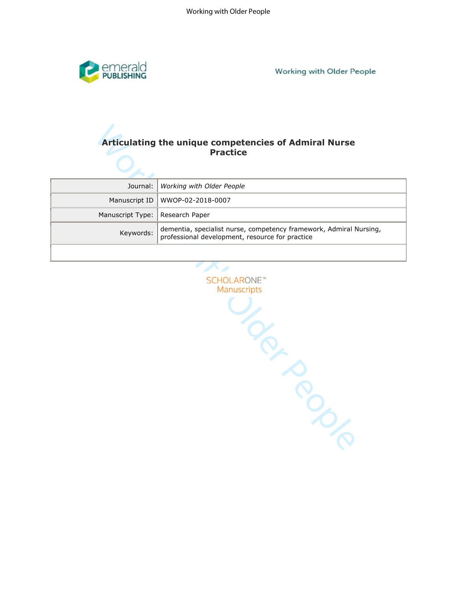

**Working with Older People** 

# **Practice**

|                                   | Journal:   Working with Older People                                                                                            |
|-----------------------------------|---------------------------------------------------------------------------------------------------------------------------------|
|                                   | Manuscript ID   WWOP-02-2018-0007                                                                                               |
| Manuscript Type:   Research Paper |                                                                                                                                 |
|                                   | Keywords: dementia, specialist nurse, competency framework, Admiral Nursing,<br>professional development, resource for practice |
|                                   |                                                                                                                                 |

Practice<br>
Practice<br>
Practice<br>
Nanuscript ID Working with Older People<br>
Manuscript ID Working with Older People<br>
Manuscript IV<br>
Keywords: dementia, specialist rurse, competency framework, Admiral Nursin<br>
Keywords: professio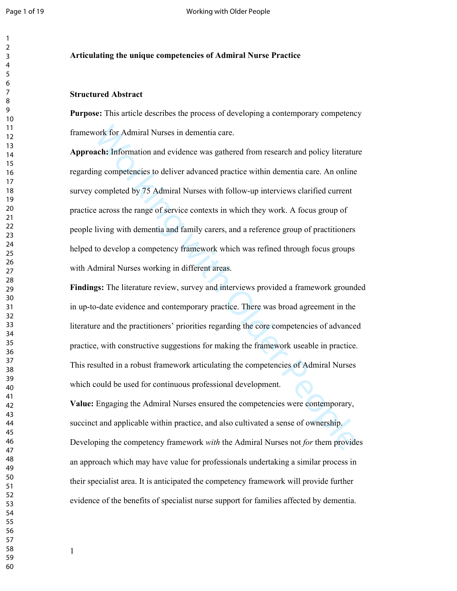#### **Articulating the unique competencies of Admiral Nurse Practice**

#### **Structured Abstract**

**Purpose:** This article describes the process of developing a contemporary competency framework for Admiral Nurses in dementia care.

ronk for Admiral Nurses in dementia care.<br>
arch: Information and evidence was gathered from research and policy literature<br>
arch: Information and evidence was gathered from research and policy literature<br>
arching competenc **Approach:** Information and evidence was gathered from research and policy literature regarding competencies to deliver advanced practice within dementia care. An online survey completed by 75 Admiral Nurses with follow-up interviews clarified current practice across the range of service contexts in which they work. A focus group of people living with dementia and family carers, and a reference group of practitioners helped to develop a competency framework which was refined through focus groups with Admiral Nurses working in different areas.

**Findings:** The literature review, survey and interviews provided a framework grounded in up-to-date evidence and contemporary practice. There was broad agreement in the literature and the practitioners' priorities regarding the core competencies of advanced practice, with constructive suggestions for making the framework useable in practice. This resulted in a robust framework articulating the competencies of Admiral Nurses which could be used for continuous professional development.

**Value:** Engaging the Admiral Nurses ensured the competencies were contemporary, succinct and applicable within practice, and also cultivated a sense of ownership. Developing the competency framework *with* the Admiral Nurses not *for* them provides an approach which may have value for professionals undertaking a similar process in their specialist area. It is anticipated the competency framework will provide further evidence of the benefits of specialist nurse support for families affected by dementia.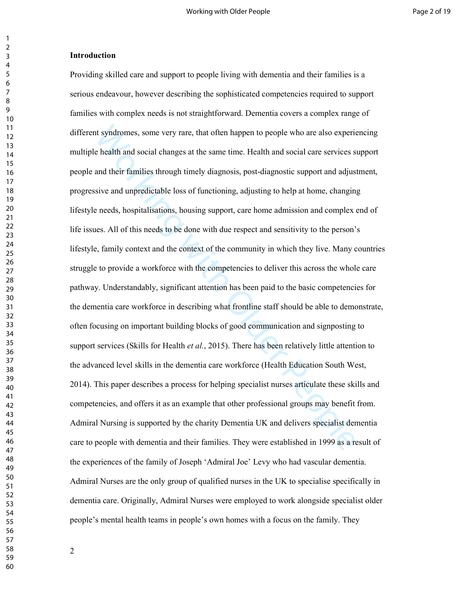## **Introduction**

at syndromes, some very rare, that often happen to people who are also experie<br>
e health and social changes at the same time. Health and social care services s<br>
and their families through timely diagnosis, post-diagnostic Providing skilled care and support to people living with dementia and their families is a serious endeavour, however describing the sophisticated competencies required to support families with complex needs is not straightforward. Dementia covers a complex range of different syndromes, some very rare, that often happen to people who are also experiencing multiple health and social changes at the same time. Health and social care services support people and their families through timely diagnosis, post-diagnostic support and adjustment, progressive and unpredictable loss of functioning, adjusting to help at home, changing lifestyle needs, hospitalisations, housing support, care home admission and complex end of life issues. All of this needs to be done with due respect and sensitivity to the person's lifestyle, family context and the context of the community in which they live. Many countries struggle to provide a workforce with the competencies to deliver this across the whole care pathway. Understandably, significant attention has been paid to the basic competencies for the dementia care workforce in describing what frontline staff should be able to demonstrate, often focusing on important building blocks of good communication and signposting to support services (Skills for Health *et al.*, 2015). There has been relatively little attention to the advanced level skills in the dementia care workforce (Health Education South West, 2014). This paper describes a process for helping specialist nurses articulate these skills and competencies, and offers it as an example that other professional groups may benefit from. Admiral Nursing is supported by the charity Dementia UK and delivers specialist dementia care to people with dementia and their families. They were established in 1999 as a result of the experiences of the family of Joseph 'Admiral Joe' Levy who had vascular dementia. Admiral Nurses are the only group of qualified nurses in the UK to specialise specifically in dementia care. Originally, Admiral Nurses were employed to work alongside specialist older people's mental health teams in people's own homes with a focus on the family. They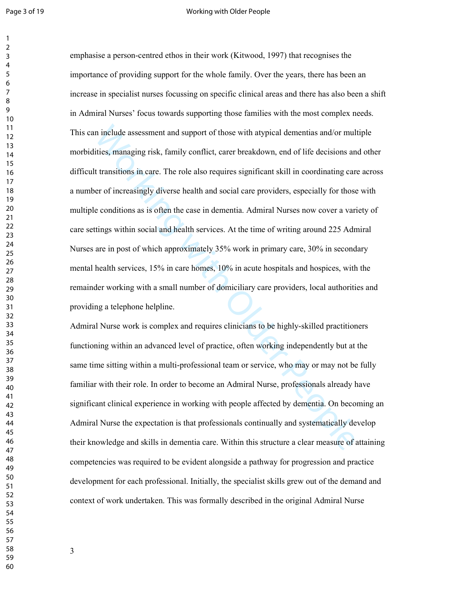#### Page 3 of 19 Working with Older People

in include assessment and support of those with atypical dementias and/or multities, managing risk, family conflict, carer breakdown, end of life decisions and transitions in care. The role also requires significant skill emphasise a person-centred ethos in their work (Kitwood, 1997) that recognises the importance of providing support for the whole family. Over the years, there has been an increase in specialist nurses focussing on specific clinical areas and there has also been a shift in Admiral Nurses' focus towards supporting those families with the most complex needs. This can include assessment and support of those with atypical dementias and/or multiple morbidities, managing risk, family conflict, carer breakdown, end of life decisions and other difficult transitions in care. The role also requires significant skill in coordinating care across a number of increasingly diverse health and social care providers, especially for those with multiple conditions as is often the case in dementia. Admiral Nurses now cover a variety of care settings within social and health services. At the time of writing around 225 Admiral Nurses are in post of which approximately 35% work in primary care, 30% in secondary mental health services, 15% in care homes, 10% in acute hospitals and hospices, with the remainder working with a small number of domiciliary care providers, local authorities and providing a telephone helpline.

Admiral Nurse work is complex and requires clinicians to be highly-skilled practitioners functioning within an advanced level of practice, often working independently but at the same time sitting within a multi-professional team or service, who may or may not be fully familiar with their role. In order to become an Admiral Nurse, professionals already have significant clinical experience in working with people affected by dementia. On becoming an Admiral Nurse the expectation is that professionals continually and systematically develop their knowledge and skills in dementia care. Within this structure a clear measure of attaining competencies was required to be evident alongside a pathway for progression and practice development for each professional. Initially, the specialist skills grew out of the demand and context of work undertaken. This was formally described in the original Admiral Nurse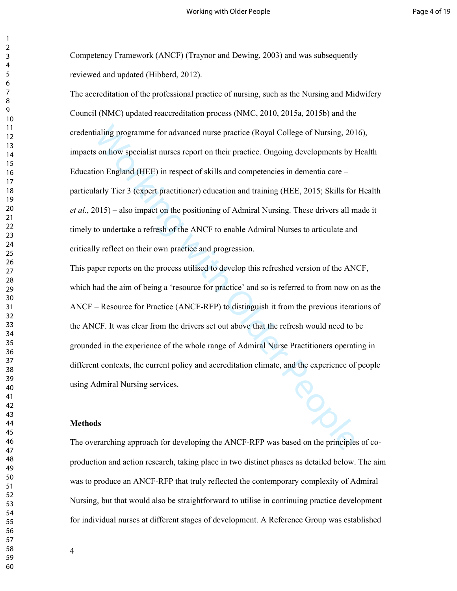Competency Framework (ANCF) (Traynor and Dewing, 2003) and was subsequently reviewed and updated (Hibberd, 2012).

ialing programme for advanced nurse practice (Royal College of Nursing, 201<br>
son how specialist nurses report on their practice. Ongoing developments by H<br>
ion England (HEE) in respect of skills and comptetneies in dementi The accreditation of the professional practice of nursing, such as the Nursing and Midwifery Council (NMC) updated reaccreditation process (NMC, 2010, 2015a, 2015b) and the credentialing programme for advanced nurse practice (Royal College of Nursing, 2016), impacts on how specialist nurses report on their practice. Ongoing developments by Health Education England (HEE) in respect of skills and competencies in dementia care – particularly Tier 3 (expert practitioner) education and training (HEE, 2015; Skills for Health *et al.*, 2015) – also impact on the positioning of Admiral Nursing. These drivers all made it timely to undertake a refresh of the ANCF to enable Admiral Nurses to articulate and critically reflect on their own practice and progression.

This paper reports on the process utilised to develop this refreshed version of the ANCF, which had the aim of being a 'resource for practice' and so is referred to from now on as the ANCF – Resource for Practice (ANCF-RFP) to distinguish it from the previous iterations of the ANCF. It was clear from the drivers set out above that the refresh would need to be grounded in the experience of the whole range of Admiral Nurse Practitioners operating in different contexts, the current policy and accreditation climate, and the experience of people using Admiral Nursing services.

#### **Methods**

The overarching approach for developing the ANCF-RFP was based on the principles of coproduction and action research, taking place in two distinct phases as detailed below. The aim was to produce an ANCF-RFP that truly reflected the contemporary complexity of Admiral Nursing, but that would also be straightforward to utilise in continuing practice development for individual nurses at different stages of development. A Reference Group was established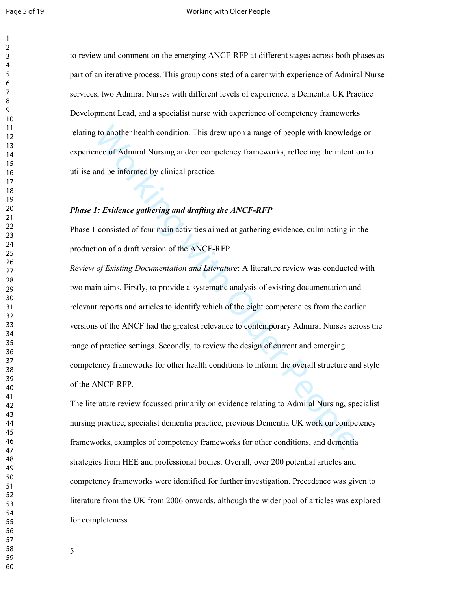to review and comment on the emerging ANCF-RFP at different stages across both phases as part of an iterative process. This group consisted of a carer with experience of Admiral Nurse services, two Admiral Nurses with different levels of experience, a Dementia UK Practice Development Lead, and a specialist nurse with experience of competency frameworks relating to another health condition. This drew upon a range of people with knowledge or experience of Admiral Nursing and/or competency frameworks, reflecting the intention to utilise and be informed by clinical practice.

## *Phase 1: Evidence gathering and drafting the ANCF-RFP*

Phase 1 consisted of four main activities aimed at gathering evidence, culminating in the production of a draft version of the ANCF-RFP.

to another health condition. This drew upon a range of people with knowledgence of Admiral Nursing and/or competency frameworks, reflecting the intention of a forming by clinical practice.<br>
1: Evidence gathering and drafti *Review of Existing Documentation and Literature*: A literature review was conducted with two main aims. Firstly, to provide a systematic analysis of existing documentation and relevant reports and articles to identify which of the eight competencies from the earlier versions of the ANCF had the greatest relevance to contemporary Admiral Nurses across the range of practice settings. Secondly, to review the design of current and emerging competency frameworks for other health conditions to inform the overall structure and style of the ANCF-RFP.

The literature review focussed primarily on evidence relating to Admiral Nursing, specialist nursing practice, specialist dementia practice, previous Dementia UK work on competency frameworks, examples of competency frameworks for other conditions, and dementia strategies from HEE and professional bodies. Overall, over 200 potential articles and competency frameworks were identified for further investigation. Precedence was given to literature from the UK from 2006 onwards, although the wider pool of articles was explored for completeness.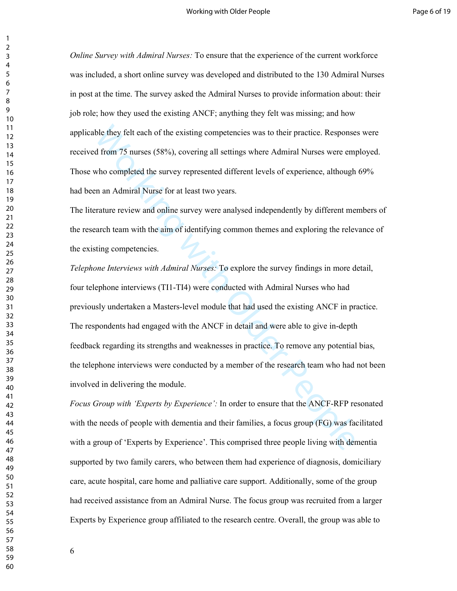*Online Survey with Admiral Nurses:* To ensure that the experience of the current workforce was included, a short online survey was developed and distributed to the 130 Admiral Nurses in post at the time. The survey asked the Admiral Nurses to provide information about: their job role; how they used the existing ANCF; anything they felt was missing; and how applicable they felt each of the existing competencies was to their practice. Responses were received from 75 nurses (58%), covering all settings where Admiral Nurses were employed. Those who completed the survey represented different levels of experience, although 69% had been an Admiral Nurse for at least two years.

The literature review and online survey were analysed independently by different members of the research team with the aim of identifying common themes and exploring the relevance of the existing competencies.

ble they felt each of the existing competencies was to their practice. Response<br>d from 75 nurses (58%), covering all settings where Admiral Nurses were emp<br>who completed the survey represented different levels of experienc *Telephone Interviews with Admiral Nurses:* To explore the survey findings in more detail, four telephone interviews (TI1-TI4) were conducted with Admiral Nurses who had previously undertaken a Masters-level module that had used the existing ANCF in practice. The respondents had engaged with the ANCF in detail and were able to give in-depth feedback regarding its strengths and weaknesses in practice. To remove any potential bias, the telephone interviews were conducted by a member of the research team who had not been involved in delivering the module.

*Focus Group with 'Experts by Experience':* In order to ensure that the ANCF-RFP resonated with the needs of people with dementia and their families, a focus group (FG) was facilitated with a group of 'Experts by Experience'. This comprised three people living with dementia supported by two family carers, who between them had experience of diagnosis, domiciliary care, acute hospital, care home and palliative care support. Additionally, some of the group had received assistance from an Admiral Nurse. The focus group was recruited from a larger Experts by Experience group affiliated to the research centre. Overall, the group was able to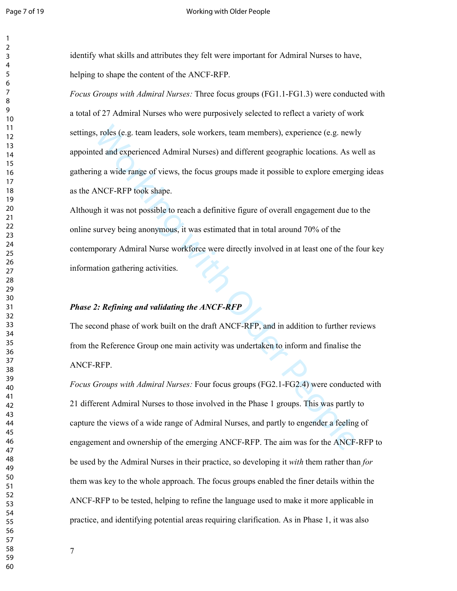#### Page 7 of 19 Working with Older People

identify what skills and attributes they felt were important for Admiral Nurses to have, helping to shape the content of the ANCF-RFP.

s, roles (e.g. team leaders, sole workers, team members), experience (e.g. newled and experienced Admiral Nurses) and different geographic locations. As w<br>g a wide range of views, the focus groups made it possible to explo *Focus Groups with Admiral Nurses:* Three focus groups (FG1.1-FG1.3) were conducted with a total of 27 Admiral Nurses who were purposively selected to reflect a variety of work settings, roles (e.g. team leaders, sole workers, team members), experience (e.g. newly appointed and experienced Admiral Nurses) and different geographic locations. As well as gathering a wide range of views, the focus groups made it possible to explore emerging ideas as the ANCF-RFP took shape.

Although it was not possible to reach a definitive figure of overall engagement due to the online survey being anonymous, it was estimated that in total around 70% of the contemporary Admiral Nurse workforce were directly involved in at least one of the four key information gathering activities.

# *Phase 2: Refining and validating the ANCF-RFP*

The second phase of work built on the draft ANCF-RFP, and in addition to further reviews from the Reference Group one main activity was undertaken to inform and finalise the ANCF-RFP.

*Focus Groups with Admiral Nurses:* Four focus groups (FG2.1-FG2.4) were conducted with 21 different Admiral Nurses to those involved in the Phase 1 groups. This was partly to capture the views of a wide range of Admiral Nurses, and partly to engender a feeling of engagement and ownership of the emerging ANCF-RFP. The aim was for the ANCF-RFP to be used by the Admiral Nurses in their practice, so developing it *with* them rather than *for* them was key to the whole approach. The focus groups enabled the finer details within the ANCF-RFP to be tested, helping to refine the language used to make it more applicable in practice, and identifying potential areas requiring clarification. As in Phase 1, it was also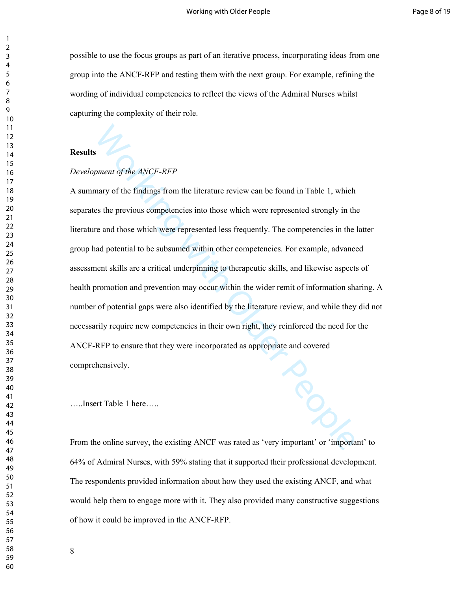possible to use the focus groups as part of an iterative process, incorporating ideas from one group into the ANCF-RFP and testing them with the next group. For example, refining the wording of individual competencies to reflect the views of the Admiral Nurses whilst capturing the complexity of their role.

## **Results**

## *Development of the ANCF-RFP*

s<br>ment of the *ANCF-RFP*<br>mary of the findings from the literature review can be found in Table 1, which<br>es the previous competencies into those which were represented strongly in the<br>read those which were represented less A summary of the findings from the literature review can be found in Table 1, which separates the previous competencies into those which were represented strongly in the literature and those which were represented less frequently. The competencies in the latter group had potential to be subsumed within other competencies. For example, advanced assessment skills are a critical underpinning to therapeutic skills, and likewise aspects of health promotion and prevention may occur within the wider remit of information sharing. A number of potential gaps were also identified by the literature review, and while they did not necessarily require new competencies in their own right, they reinforced the need for the ANCF-RFP to ensure that they were incorporated as appropriate and covered comprehensively.

…..Insert Table 1 here…..

From the online survey, the existing ANCF was rated as 'very important' or 'important' to 64% of Admiral Nurses, with 59% stating that it supported their professional development. The respondents provided information about how they used the existing ANCF, and what would help them to engage more with it. They also provided many constructive suggestions of how it could be improved in the ANCF-RFP.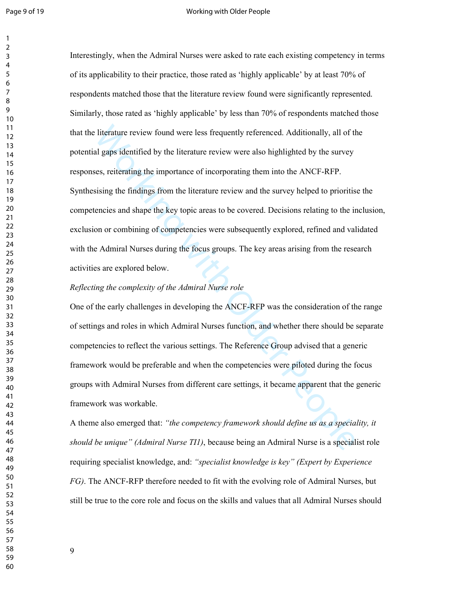#### Page 9 of 19 North 2002 and 2008 Working with Older People

literature review found were less frequently referenced. Additionally, all of the all gaps identified by the literature review were also highlighted by the survey es, reiterating the importance of incorporating them into t Interestingly, when the Admiral Nurses were asked to rate each existing competency in terms of its applicability to their practice, those rated as 'highly applicable' by at least 70% of respondents matched those that the literature review found were significantly represented. Similarly, those rated as 'highly applicable' by less than 70% of respondents matched those that the literature review found were less frequently referenced. Additionally, all of the potential gaps identified by the literature review were also highlighted by the survey responses, reiterating the importance of incorporating them into the ANCF-RFP. Synthesising the findings from the literature review and the survey helped to prioritise the competencies and shape the key topic areas to be covered. Decisions relating to the inclusion, exclusion or combining of competencies were subsequently explored, refined and validated with the Admiral Nurses during the focus groups. The key areas arising from the research activities are explored below.

## *Reflecting the complexity of the Admiral Nurse role*

One of the early challenges in developing the ANCF-RFP was the consideration of the range of settings and roles in which Admiral Nurses function, and whether there should be separate competencies to reflect the various settings. The Reference Group advised that a generic framework would be preferable and when the competencies were piloted during the focus groups with Admiral Nurses from different care settings, it became apparent that the generic framework was workable.

A theme also emerged that: *"the competency framework should define us as a speciality, it should be unique" (Admiral Nurse TI1)*, because being an Admiral Nurse is a specialist role requiring specialist knowledge, and: *"specialist knowledge is key" (Expert by Experience FG)*. The ANCF-RFP therefore needed to fit with the evolving role of Admiral Nurses, but still be true to the core role and focus on the skills and values that all Admiral Nurses should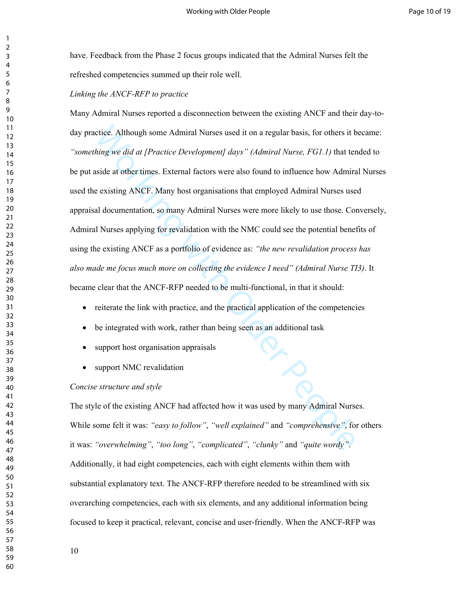have. Feedback from the Phase 2 focus groups indicated that the Admiral Nurses felt the refreshed competencies summed up their role well.

*Linking the ANCF-RFP to practice* 

ictice. Although some Admiral Nurses used it on a regular basis, for others it b<br>*hing we did at [Practice Development] days" (Admiral Nurse, FGLI)* that ter<br>side at other times. External factors were also found to influen Many Admiral Nurses reported a disconnection between the existing ANCF and their day-today practice. Although some Admiral Nurses used it on a regular basis, for others it became: *"something we did at [Practice Development] days" (Admiral Nurse, FG1.1)* that tended to be put aside at other times. External factors were also found to influence how Admiral Nurses used the existing ANCF. Many host organisations that employed Admiral Nurses used appraisal documentation, so many Admiral Nurses were more likely to use those. Conversely, Admiral Nurses applying for revalidation with the NMC could see the potential benefits of using the existing ANCF as a portfolio of evidence as: *"the new revalidation process has also made me focus much more on collecting the evidence I need" (Admiral Nurse TI3)*. It became clear that the ANCF-RFP needed to be multi-functional, in that it should:

- reiterate the link with practice, and the practical application of the competencies
- be integrated with work, rather than being seen as an additional task
- support host organisation appraisals
- support NMC revalidation

#### *Concise structure and style*

The style of the existing ANCF had affected how it was used by many Admiral Nurses. While some felt it was: *"easy to follow"*, *"well explained"* and *"comprehensive"*, for others it was: *"overwhelming"*, *"too long"*, *"complicated"*, *"clunky"* and *"quite wordy"*. Additionally, it had eight competencies, each with eight elements within them with substantial explanatory text. The ANCF-RFP therefore needed to be streamlined with six overarching competencies, each with six elements, and any additional information being focused to keep it practical, relevant, concise and user-friendly. When the ANCF-RFP was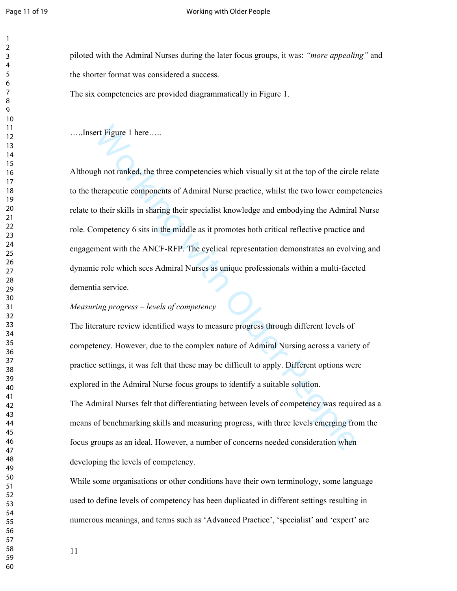#### Page 11 of 19 North Board 2012 12:00 Working with Older People

piloted with the Admiral Nurses during the later focus groups, it was: *"more appealing"* and the shorter format was considered a success.

The six competencies are provided diagrammatically in Figure 1.

…..Insert Figure 1 here…..

Although not ranked, the three competencies which visually sit at the top of the circle relate to the therapeutic components of Admiral Nurse practice, whilst the two lower competencies relate to their skills in sharing their specialist knowledge and embodying the Admiral Nurse role. Competency 6 sits in the middle as it promotes both critical reflective practice and engagement with the ANCF-RFP. The cyclical representation demonstrates an evolving and dynamic role which sees Admiral Nurses as unique professionals within a multi-faceted dementia service.

## *Measuring progress – levels of competency*

ent Figure 1 here.....<br>
gh not ranked, the three competencies which visually sit at the top of the circle<br>
herapeutic components of Admiral Nurse practice, whilst the two lower compo<br>
otheir skills in sharing their special The literature review identified ways to measure progress through different levels of competency. However, due to the complex nature of Admiral Nursing across a variety of practice settings, it was felt that these may be difficult to apply. Different options were explored in the Admiral Nurse focus groups to identify a suitable solution. The Admiral Nurses felt that differentiating between levels of competency was required as a means of benchmarking skills and measuring progress, with three levels emerging from the focus groups as an ideal. However, a number of concerns needed consideration when developing the levels of competency.

While some organisations or other conditions have their own terminology, some language used to define levels of competency has been duplicated in different settings resulting in numerous meanings, and terms such as 'Advanced Practice', 'specialist' and 'expert' are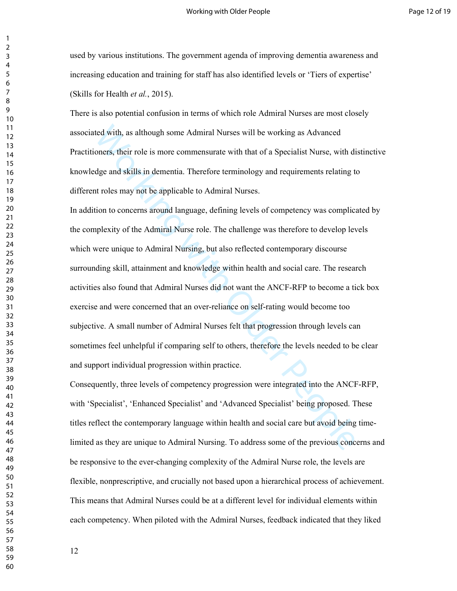used by various institutions. The government agenda of improving dementia awareness and increasing education and training for staff has also identified levels or 'Tiers of expertise' (Skills for Health *et al.*, 2015).

There is also potential confusion in terms of which role Admiral Nurses are most closely associated with, as although some Admiral Nurses will be working as Advanced Practitioners, their role is more commensurate with that of a Specialist Nurse, with distinctive knowledge and skills in dementia. Therefore terminology and requirements relating to different roles may not be applicable to Admiral Nurses.

ted with, as although some Admiral Nurses will be working as Advanced<br>oners, their role is more commensurate with that of a Specialist Nurse, with di<br>dge and skills in dementia. Therefore terminology and requirements relat In addition to concerns around language, defining levels of competency was complicated by the complexity of the Admiral Nurse role. The challenge was therefore to develop levels which were unique to Admiral Nursing, but also reflected contemporary discourse surrounding skill, attainment and knowledge within health and social care. The research activities also found that Admiral Nurses did not want the ANCF-RFP to become a tick box exercise and were concerned that an over-reliance on self-rating would become too subjective. A small number of Admiral Nurses felt that progression through levels can sometimes feel unhelpful if comparing self to others, therefore the levels needed to be clear and support individual progression within practice.

Consequently, three levels of competency progression were integrated into the ANCF-RFP, with 'Specialist', 'Enhanced Specialist' and 'Advanced Specialist' being proposed. These titles reflect the contemporary language within health and social care but avoid being timelimited as they are unique to Admiral Nursing. To address some of the previous concerns and be responsive to the ever-changing complexity of the Admiral Nurse role, the levels are flexible, nonprescriptive, and crucially not based upon a hierarchical process of achievement. This means that Admiral Nurses could be at a different level for individual elements within each competency. When piloted with the Admiral Nurses, feedback indicated that they liked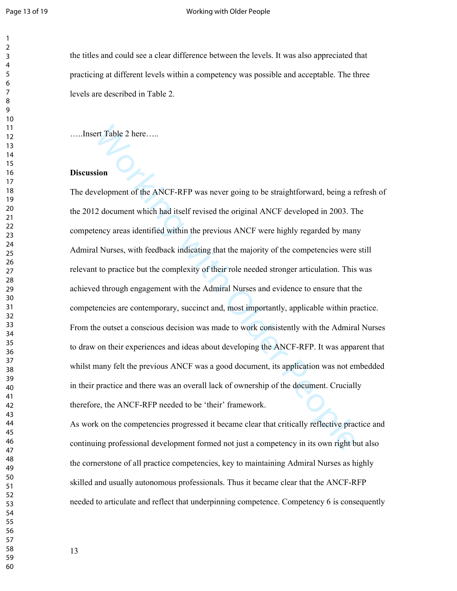#### Page 13 of 19 North Board 2012 13 of 19 North Morking with Older People

the titles and could see a clear difference between the levels. It was also appreciated that practicing at different levels within a competency was possible and acceptable. The three levels are described in Table 2.

…..Insert Table 2 here…..

# **Discussion**

end Table 2 here.....<br>
sion<br>
sion<br>
sion<br>
colopment of the ANCF-RFP was never going to be straightforward, being a n<br>
2 document which had itself revised the original ANCF developed in 2003. The<br>
relay areas identified with The development of the ANCF-RFP was never going to be straightforward, being a refresh of the 2012 document which had itself revised the original ANCF developed in 2003. The competency areas identified within the previous ANCF were highly regarded by many Admiral Nurses, with feedback indicating that the majority of the competencies were still relevant to practice but the complexity of their role needed stronger articulation. This was achieved through engagement with the Admiral Nurses and evidence to ensure that the competencies are contemporary, succinct and, most importantly, applicable within practice. From the outset a conscious decision was made to work consistently with the Admiral Nurses to draw on their experiences and ideas about developing the ANCF-RFP. It was apparent that whilst many felt the previous ANCF was a good document, its application was not embedded in their practice and there was an overall lack of ownership of the document. Crucially therefore, the ANCF-RFP needed to be 'their' framework.

As work on the competencies progressed it became clear that critically reflective practice and continuing professional development formed not just a competency in its own right but also the cornerstone of all practice competencies, key to maintaining Admiral Nurses as highly skilled and usually autonomous professionals. Thus it became clear that the ANCF-RFP needed to articulate and reflect that underpinning competence. Competency 6 is consequently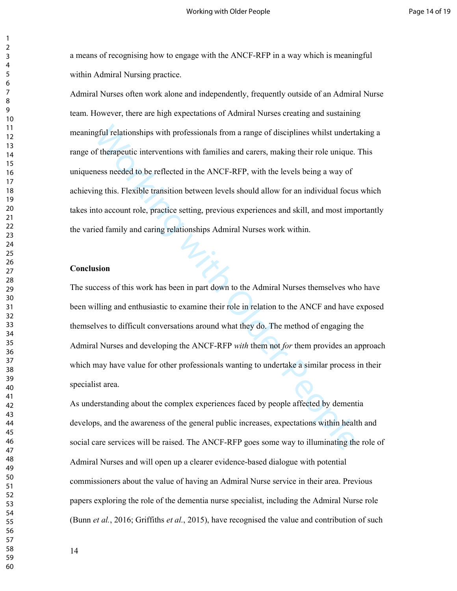a means of recognising how to engage with the ANCF-RFP in a way which is meaningful within Admiral Nursing practice.

gful relationships with professionals from a range of disciplines whilst undert<br>of therapeutic interventions with families and carers, making their role unique.<br>
ress needed to be reflected in the ANCF-RFP, with the levels Admiral Nurses often work alone and independently, frequently outside of an Admiral Nurse team. However, there are high expectations of Admiral Nurses creating and sustaining meaningful relationships with professionals from a range of disciplines whilst undertaking a range of therapeutic interventions with families and carers, making their role unique. This uniqueness needed to be reflected in the ANCF-RFP, with the levels being a way of achieving this. Flexible transition between levels should allow for an individual focus which takes into account role, practice setting, previous experiences and skill, and most importantly the varied family and caring relationships Admiral Nurses work within.

#### **Conclusion**

The success of this work has been in part down to the Admiral Nurses themselves who have been willing and enthusiastic to examine their role in relation to the ANCF and have exposed themselves to difficult conversations around what they do. The method of engaging the Admiral Nurses and developing the ANCF-RFP *with* them not *for* them provides an approach which may have value for other professionals wanting to undertake a similar process in their specialist area.

As understanding about the complex experiences faced by people affected by dementia develops, and the awareness of the general public increases, expectations within health and social care services will be raised. The ANCF-RFP goes some way to illuminating the role of Admiral Nurses and will open up a clearer evidence-based dialogue with potential commissioners about the value of having an Admiral Nurse service in their area. Previous papers exploring the role of the dementia nurse specialist, including the Admiral Nurse role (Bunn *et al.*, 2016; Griffiths *et al.*, 2015), have recognised the value and contribution of such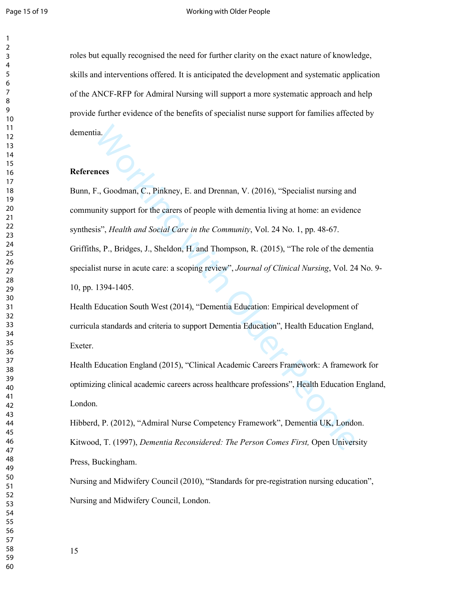#### Page 15 of 19 North 2002 and 2008 Working with Older People

roles but equally recognised the need for further clarity on the exact nature of knowledge, skills and interventions offered. It is anticipated the development and systematic application of the ANCF-RFP for Admiral Nursing will support a more systematic approach and help provide further evidence of the benefits of specialist nurse support for families affected by dementia.

# **References**

ia.<br>
F., Goodman, C., Pinkney, E. and Drennan, V. (2016), "Specialist nursing and<br>
mitty support for the earers of people with dementia living at home: an evidenc<br>
is", *Health and Social Care in the Community*, Vol. 24 No Bunn, F., Goodman, C., Pinkney, E. and Drennan, V. (2016), "Specialist nursing and community support for the carers of people with dementia living at home: an evidence synthesis", *Health and Social Care in the Community*, Vol. 24 No. 1, pp. 48-67. Griffiths, P., Bridges, J., Sheldon, H. and Thompson, R. (2015), "The role of the dementia specialist nurse in acute care: a scoping review", *Journal of Clinical Nursing*, Vol. 24 No. 9- 10, pp. 1394-1405.

Health Education South West (2014), "Dementia Education: Empirical development of curricula standards and criteria to support Dementia Education", Health Education England, Exeter.

Health Education England (2015), "Clinical Academic Careers Framework: A framework for optimizing clinical academic careers across healthcare professions", Health Education England, London.

Hibberd, P. (2012), "Admiral Nurse Competency Framework", Dementia UK, London. Kitwood, T. (1997), *Dementia Reconsidered: The Person Comes First,* Open University Press, Buckingham.

Nursing and Midwifery Council (2010), "Standards for pre-registration nursing education", Nursing and Midwifery Council, London.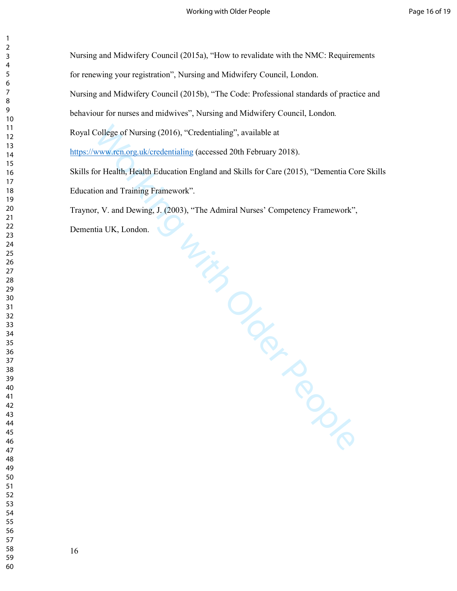College of Nursing (2016), "Credentialing", available at<br>www.ren.org.uk/credentialing (accessed 20th February 2018).<br>To Health, Health Education England and Skills for Care (2015), "Dementia Co<br>ion and Training Framework". Nursing and Midwifery Council (2015a), "How to revalidate with the NMC: Requirements for renewing your registration", Nursing and Midwifery Council, London. Nursing and Midwifery Council (2015b), "The Code: Professional standards of practice and behaviour for nurses and midwives", Nursing and Midwifery Council, London*.* Royal College of Nursing (2016), "Credentialing", available at https://www.rcn.org.uk/credentialing (accessed 20th February 2018). Skills for Health, Health Education England and Skills for Care (2015), "Dementia Core Skills Education and Training Framework". Traynor, V. and Dewing, J. (2003), "The Admiral Nurses' Competency Framework", Dementia UK, London.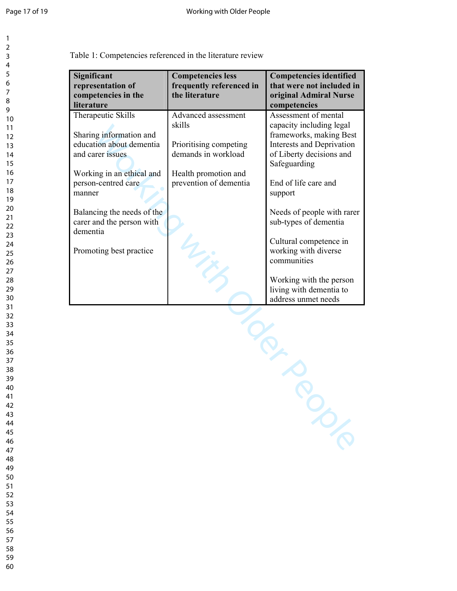Table 1: Competencies referenced in the literature review

| Significant<br>representation of<br>competencies in the<br>literature                                                                             | <b>Competencies less</b><br>frequently referenced in<br>the literature                                                           | <b>Competencies identified</b><br>that were not included in<br>original Admiral Nurse<br>competencies                                                                        |
|---------------------------------------------------------------------------------------------------------------------------------------------------|----------------------------------------------------------------------------------------------------------------------------------|------------------------------------------------------------------------------------------------------------------------------------------------------------------------------|
| Therapeutic Skills<br>Sharing information and<br>education about dementia<br>and carer issues<br>Working in an ethical and<br>person-centred care | Advanced assessment<br>skills<br>Prioritising competing<br>demands in workload<br>Health promotion and<br>prevention of dementia | Assessment of mental<br>capacity including legal<br>frameworks, making Best<br>Interests and Deprivation<br>of Liberty decisions and<br>Safeguarding<br>End of life care and |
| manner<br>Balancing the needs of the<br>carer and the person with<br>dementia<br>Promoting best practice                                          |                                                                                                                                  | support<br>Needs of people with rarer<br>sub-types of dementia<br>Cultural competence in<br>working with diverse<br>communities                                              |
|                                                                                                                                                   |                                                                                                                                  | Working with the person<br>living with dementia to<br>address unmet needs                                                                                                    |
|                                                                                                                                                   |                                                                                                                                  |                                                                                                                                                                              |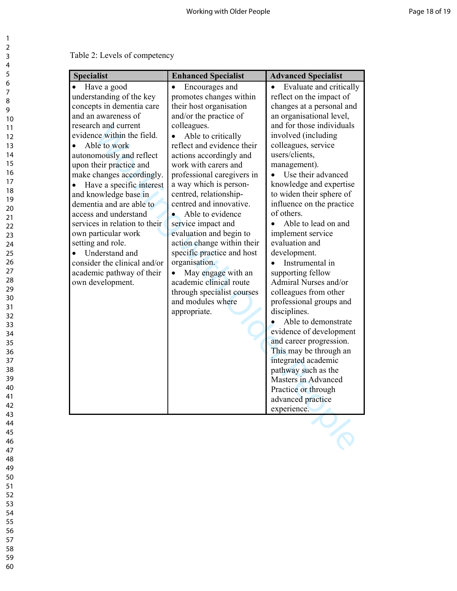| Table 2: Levels of competency |  |  |
|-------------------------------|--|--|
|-------------------------------|--|--|

| Have a good<br>understanding of the key<br>concepts in dementia care<br>and an awareness of<br>research and current                                                                                                                                                                                                                                                                                                      | $\bullet$<br>Encourages and<br>promotes changes within<br>their host organisation                                                                                                                                                                                                                                                                                                                                                                                                                                                                         | Evaluate and critically<br>$\bullet$<br>reflect on the impact of<br>changes at a personal and                                                                                                                                                                                                                                                                                                                                                                                                                                                                                                                                                                                        |
|--------------------------------------------------------------------------------------------------------------------------------------------------------------------------------------------------------------------------------------------------------------------------------------------------------------------------------------------------------------------------------------------------------------------------|-----------------------------------------------------------------------------------------------------------------------------------------------------------------------------------------------------------------------------------------------------------------------------------------------------------------------------------------------------------------------------------------------------------------------------------------------------------------------------------------------------------------------------------------------------------|--------------------------------------------------------------------------------------------------------------------------------------------------------------------------------------------------------------------------------------------------------------------------------------------------------------------------------------------------------------------------------------------------------------------------------------------------------------------------------------------------------------------------------------------------------------------------------------------------------------------------------------------------------------------------------------|
| evidence within the field.<br>Able to work<br>autonomously and reflect<br>upon their practice and<br>make changes accordingly.<br>Have a specific interest<br>and knowledge base in<br>dementia and are able to<br>access and understand<br>services in relation to their<br>own particular work<br>setting and role.<br>Understand and<br>consider the clinical and/or<br>academic pathway of their<br>own development. | and/or the practice of<br>colleagues.<br>Able to critically<br>$\bullet$<br>reflect and evidence their<br>actions accordingly and<br>work with carers and<br>professional caregivers in<br>a way which is person-<br>centred, relationship-<br>centred and innovative.<br>Able to evidence<br>$\bullet$<br>service impact and<br>evaluation and begin to<br>action change within their<br>specific practice and host<br>organisation.<br>May engage with an<br>academic clinical route<br>through specialist courses<br>and modules where<br>appropriate. | an organisational level,<br>and for those individuals<br>involved (including)<br>colleagues, service<br>users/clients,<br>management).<br>Use their advanced<br>knowledge and expertise<br>to widen their sphere of<br>influence on the practice<br>of others.<br>Able to lead on and<br>implement service<br>evaluation and<br>development.<br>Instrumental in<br>supporting fellow<br>Admiral Nurses and/or<br>colleagues from other<br>professional groups and<br>disciplines.<br>Able to demonstrate<br>evidence of development<br>and career progression.<br>This may be through an<br>integrated academic<br>pathway such as the<br>Masters in Advanced<br>Practice or through |
|                                                                                                                                                                                                                                                                                                                                                                                                                          |                                                                                                                                                                                                                                                                                                                                                                                                                                                                                                                                                           | advanced practice<br>experience.                                                                                                                                                                                                                                                                                                                                                                                                                                                                                                                                                                                                                                                     |